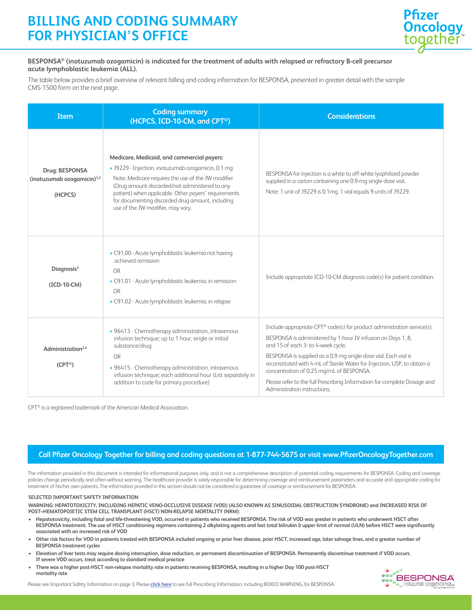# **BILLING AND CODING SUMMARY FOR PHYSICIAN'S OFFICE**



#### **BESPONSA® (inotuzumab ozogamicin) is indicated for the treatment of adults with relapsed or refractory B-cell precursor acute lymphoblastic leukemia (ALL).**

The table below provides a brief overview of relevant billing and coding information for BESPONSA, presented in greater detail with the sample CMS-1500 form on the next page.

| Item                                                       | <b>Coding summary</b><br>(HCPCS, ICD-10-CM, and CPT <sup>®</sup> )                                                                                                                                                                                                                                                                                        | <b>Considerations</b>                                                                                                                                                                                                                                                                                                                                                                                                                                                                |
|------------------------------------------------------------|-----------------------------------------------------------------------------------------------------------------------------------------------------------------------------------------------------------------------------------------------------------------------------------------------------------------------------------------------------------|--------------------------------------------------------------------------------------------------------------------------------------------------------------------------------------------------------------------------------------------------------------------------------------------------------------------------------------------------------------------------------------------------------------------------------------------------------------------------------------|
| Drug: BESPONSA<br>(inotuzumab ozogamicin) $1,2$<br>(HCPCS) | Medicare, Medicaid, and commercial payers:<br>· J9229 - Injection, inotuzumab ozogamicin, 0.1 mg<br>Note: Medicare requires the use of the JW modifier<br>(Drug amount discarded/not administered to any<br>patient) when applicable. Other payers' requirements<br>for documenting discarded drug amount, including<br>use of the JW modifier, may vary. | BESPONSA for injection is a white to off-white lyophilized powder<br>supplied in a carton containing one 0.9-mg single-dose vial.<br>Note: 1 unit of J9229 is 0.1mg. 1 vial equals 9 units of J9229.                                                                                                                                                                                                                                                                                 |
| Diagnosis <sup>3</sup><br>(ICD-10-CM)                      | · C91.00 - Acute lymphoblastic leukemia not having<br>achieved remission<br><b>OR</b><br>· C91.01 - Acute lymphoblastic leukemia, in remission<br>OR<br>· C91.02 - Acute lymphoblastic leukemia, in relapse                                                                                                                                               | Include appropriate ICD-10-CM diagnosis code(s) for patient condition.                                                                                                                                                                                                                                                                                                                                                                                                               |
| Administration <sup>2,4</sup><br>$(CPT^{\circledcirc})$    | · 96413 - Chemotherapy administration, intravenous<br>infusion technique; up to 1 hour, single or initial<br>substance/drug<br>OR<br>· 96415 - Chemotherapy administration, intravenous<br>infusion technique; each additional hour (List separately in<br>addition to code for primary procedure)                                                        | Include appropriate CPT® code(s) for product administration service(s).<br>BESPONSA is administered by 1-hour IV infusion on Days 1, 8,<br>and 15 of each 3- to 4-week cycle.<br>BESPONSA is supplied as a 0.9 mg single-dose vial. Each vial is<br>reconstituted with 4 mL of Sterile Water for Injection, USP, to obtain a<br>concentration of 0.25 mg/mL of BESPONSA.<br>Please refer to the full Prescribing Information for complete Dosage and<br>Administration instructions. |

CPT® is a registered trademark of the American Medical Association.

## **Call Pfizer Oncology Together for billing and coding questions at 1-877-744-5675 or visit www.PfizerOncologyTogether.com**

The information provided in this document is intended for informational purposes only, and is not a comprehensive description of potential coding requirements for BESPONSA. Coding and coverage policies change periodically and often without warning. The healthcare provider is solely responsible for determining coverage and reimbursement parameters and accurate and appropriate coding for treatment of his/her own patients. The information provided in this section should not be considered a guarantee of coverage or reimbursement for BESPONSA.

#### **SELECTED IMPORTANT SAFETY INFORMATION**

**WARNING: HEPATOTOXICITY, INCLUDING HEPATIC VENO-OCCLUSIVE DISEASE (VOD) (ALSO KNOWN AS SINUSOIDAL OBSTRUCTION SYNDROME) and INCREASED RISK OF POST–HEMATOPOIETIC STEM CELL TRANSPLANT (HSCT) NON-RELAPSE MORTALITY (NRM):**

- **Hepatotoxicity, including fatal and life-threatening VOD, occurred in patients who received BESPONSA. The risk of VOD was greater in patients who underwent HSCT after BESPONSA treatment. The use of HSCT conditioning regimens containing 2 alkylating agents and last total bilirubin ≥ upper limit of normal (ULN) before HSCT were significantly associated with an increased risk of VOD**
- **Other risk factors for VOD in patients treated with BESPONSA included ongoing or prior liver disease, prior HSCT, increased age, later salvage lines, and a greater number of BESPONSA treatment cycles**
- **Elevation of liver tests may require dosing interruption, dose reduction, or permanent discontinuation of BESPONSA. Permanently discontinue treatment if VOD occurs. If severe VOD occurs, treat according to standard medical practice**
- **There was a higher post-HSCT non-relapse mortality rate in patients receiving BESPONSA, resulting in a higher Day 100 post-HSCT mortality rate**



Please see Important Safety Information on page 3. Please **click here** to see full Prescribing Information, including BOXED WARNING, for BESPONSA.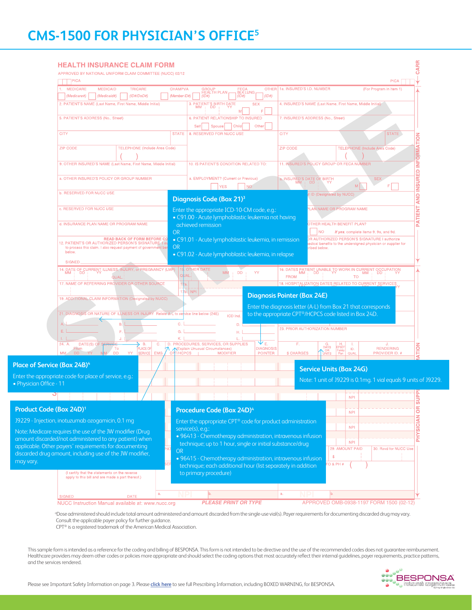|                                                                                                                    | APPROVED BY NATIONAL UNIFORM CLAIM COMMITTEE (NUCC) 02/12                                 |                |                                                                                                                          |                                                       |                                            |                                                                                                     |                                        |
|--------------------------------------------------------------------------------------------------------------------|-------------------------------------------------------------------------------------------|----------------|--------------------------------------------------------------------------------------------------------------------------|-------------------------------------------------------|--------------------------------------------|-----------------------------------------------------------------------------------------------------|----------------------------------------|
| ๅPICA<br>1. MEDICARE                                                                                               | <b>MEDICAID</b><br><b>TRICARE</b>                                                         | <b>CHAMPVA</b> | <b>GROUP</b>                                                                                                             |                                                       | OTHER 1a. INSURED'S I.D. NUMBER            |                                                                                                     | <b>PICA</b><br>(For Program in Item 1) |
| (Medicare#)                                                                                                        | $(1D\#/DoD\#)$<br>(Medicaid#)                                                             | (Member ID#)   | <b>HEALTH PLAN,</b><br>(ID#)                                                                                             | FECA<br>BLK LUNG <sub>r</sub><br>(ID#)<br>(ID#)       |                                            |                                                                                                     |                                        |
|                                                                                                                    | 2. PATIENT'S NAME (Last Name, First Name, Middle Initial)                                 |                | 3. PATIENT'S BIRTH DATE                                                                                                  | <b>SEX</b>                                            |                                            | 4. INSURED'S NAME (Last Name, First Name, Middle Initial)                                           |                                        |
| 5. PATIENT'S ADDRESS (No., Street)                                                                                 |                                                                                           |                | 6. PATIENT RELATIONSHIP TO INSURED                                                                                       |                                                       |                                            | 7. INSURED'S ADDRESS (No., Street)                                                                  |                                        |
|                                                                                                                    |                                                                                           |                | Self<br>Spouse                                                                                                           | Other<br>Child                                        |                                            |                                                                                                     |                                        |
| <b>CITY</b>                                                                                                        |                                                                                           | <b>STATE</b>   | 8. RESERVED FOR NUCC USE                                                                                                 |                                                       | <b>CITY</b>                                |                                                                                                     | <b>STATE</b>                           |
| <b>ZIP CODE</b>                                                                                                    | <b>TELEPHONE (Include Area Code)</b>                                                      |                |                                                                                                                          |                                                       | <b>ZIP CODE</b>                            |                                                                                                     | <b>TELEPHONE (Include Area Code)</b>   |
|                                                                                                                    |                                                                                           |                |                                                                                                                          |                                                       |                                            |                                                                                                     |                                        |
|                                                                                                                    | 9. OTHER INSURED'S NAME (Last Name, First Name, Middle Initial)                           |                | 10, IS PATIENT'S CONDITION RELATED TO                                                                                    |                                                       |                                            | 11. INSURED'S POLICY GROUP OR FECA NUMBER                                                           |                                        |
|                                                                                                                    |                                                                                           |                |                                                                                                                          |                                                       |                                            |                                                                                                     |                                        |
|                                                                                                                    | a, OTHER INSURED'S POLICY OR GROUP NUMBER                                                 |                | a. EMPLOYMENT? (Current or Previous)                                                                                     |                                                       | a. INSURED'S DATE OF BIRTH<br>MM   DD   YY | M.                                                                                                  | <b>SEX</b>                             |
| b. RESERVED FOR NUCC USE                                                                                           |                                                                                           |                | <b>YES</b>                                                                                                               | NO <sub>1</sub>                                       |                                            | ID (Designated by NUCC)                                                                             |                                        |
|                                                                                                                    |                                                                                           |                | <b>Diagnosis Code (Box 21)</b> <sup>3</sup>                                                                              |                                                       |                                            |                                                                                                     |                                        |
| c, RESERVED FOR NUCC USE                                                                                           |                                                                                           |                | Enter the appropriate ICD-10-CM code, e.g.:                                                                              |                                                       |                                            | LAN NAME OR PROGRAM NAME                                                                            |                                        |
|                                                                                                                    | d. INSURANCE PLAN NAME OR PROGRAM NAME                                                    |                | · C91.00 - Acute lymphoblastic leukemia not having                                                                       |                                                       |                                            | OTHER HEALTH BENEFIT PLAN?                                                                          |                                        |
|                                                                                                                    |                                                                                           |                | achieved remission                                                                                                       |                                                       |                                            | NΟ                                                                                                  | If yes, complete items 9, 9a, and 9d.  |
|                                                                                                                    | <b>READ BACK OF FORM BEFORE CO</b><br>12. PATIENT'S OR AUTHORIZED PERSON'S SIGNATURE I au | <b>OR</b>      | · C91.01 - Acute lymphoblastic leukemia, in remission                                                                    |                                                       |                                            | R AUTHORIZED PERSON'S SIGNATURE I authorize                                                         |                                        |
| below.                                                                                                             | to process this claim. I also request payment of government ber                           | <b>OR</b>      |                                                                                                                          |                                                       |                                            | dical benefits to the undersigned physician or supplier for!<br>ribed below.                        |                                        |
| <b>SIGNED</b>                                                                                                      |                                                                                           |                | • C91.02 - Acute lymphoblastic leukemia, in relapse                                                                      |                                                       |                                            |                                                                                                     |                                        |
|                                                                                                                    | 14. DATE OF CURRENT ILLNESS, INJURY, or PREGNANCY (LMP)                                   |                | <b>OTHER DATE</b><br><b>MM</b>                                                                                           |                                                       |                                            | 16. DATES PATIENT UNABLE TO WORK IN CURRENT OCCUPATION<br>MM + DD + HTM MM + DD + HTM MM + DD + HTM |                                        |
|                                                                                                                    | QUAL                                                                                      |                | JAL.                                                                                                                     | DD<br>YY                                              | <b>FROM</b>                                | <b>TO</b>                                                                                           |                                        |
|                                                                                                                    | 17, NAME OF REFERRING PROVIDER OR OTHER SOURCE                                            |                |                                                                                                                          |                                                       |                                            | 18. HOSPITALIZATION DATES RELATED TO CURRENT SERVICES                                               |                                        |
|                                                                                                                    | 19. ADDITIONAL CLAIM INFORMATION (Designated by NUCC)                                     |                | b. NPI                                                                                                                   |                                                       | <b>Diagnosis Pointer (Box 24E)</b>         |                                                                                                     |                                        |
|                                                                                                                    |                                                                                           |                |                                                                                                                          |                                                       |                                            | Enter the diagnosis letter (A-L) from Box 21 that corresponds                                       |                                        |
|                                                                                                                    | 21. DIAGNOSIS OR NATURE OF ILLNESS OR INJURY Relate A-L to se                             |                | vice line below (24E)<br>ICD Ind.                                                                                        |                                                       |                                            | to the appropriate CPT®/HCPCS code listed in Box 24D.                                               |                                        |
| F.                                                                                                                 | В.                                                                                        |                |                                                                                                                          | D.                                                    |                                            | 23. PRIOR AUTHORIZATION NUMBER                                                                      |                                        |
| L.                                                                                                                 | J.                                                                                        |                |                                                                                                                          | н.                                                    |                                            |                                                                                                     |                                        |
| 24. A.<br>DATE(S) OF<br>From                                                                                       | В.<br>C.<br>To<br><b>PLACE OF</b>                                                         |                | D. PROCEDURES, SERVICES, OR SUPPLIES<br><b>NExplain Unusual Circumstances)</b>                                           | $\mathbf{\Psi}_{\mathsf{E}_\ast}$<br><b>DIAGNOSIS</b> | F.                                         | G.<br>DAYS<br>ID.                                                                                   | <b>RENDERING</b>                       |
| MM                                                                                                                 | EMG<br><b>DD</b><br>YY<br><b>SERVICE</b>                                                  | /HCPCS<br>CP.  | <b>MODIFIER</b>                                                                                                          | <b>POINTER</b>                                        | \$ CHARGES                                 | Family<br>Plan<br>QUAL<br><b>UNITS</b>                                                              | PROVIDER ID. #                         |
| Place of Service (Box 24B) <sup>4</sup>                                                                            |                                                                                           |                |                                                                                                                          |                                                       |                                            | <b>Service Units (Box 24G)</b>                                                                      |                                        |
| Enter the appropriate code for place of service, e.g.:                                                             |                                                                                           |                |                                                                                                                          |                                                       |                                            | Note: 1 unit of J9229 is 0.1mg. 1 vial equals 9 units of J9229.                                     |                                        |
| • Physician Office - 11                                                                                            |                                                                                           |                |                                                                                                                          |                                                       |                                            |                                                                                                     |                                        |
|                                                                                                                    |                                                                                           |                |                                                                                                                          |                                                       |                                            | <b>NPI</b>                                                                                          | ------------                           |
|                                                                                                                    |                                                                                           |                |                                                                                                                          |                                                       |                                            |                                                                                                     |                                        |
|                                                                                                                    |                                                                                           |                | Procedure Code (Box 24D) <sup>4</sup>                                                                                    |                                                       |                                            | <b>NPI</b>                                                                                          |                                        |
| Product Code (Box 24D) <sup>1</sup>                                                                                |                                                                                           |                | Enter the appropriate CPT <sup>®</sup> code for product administration                                                   |                                                       |                                            | <b>NPI</b>                                                                                          |                                        |
| 19229 - Injection, inotuzumab ozogamicin, 0.1 mg                                                                   |                                                                                           |                |                                                                                                                          |                                                       |                                            |                                                                                                     |                                        |
| Note: Medicare requires the use of the JW modifier (Drug)                                                          |                                                                                           |                | service(s), e.g.:                                                                                                        |                                                       |                                            |                                                                                                     |                                        |
| amount discarded/not administered to any patient) when                                                             |                                                                                           |                | · 96413 - Chemotherapy administration, intravenous infusion<br>technique; up to 1 hour, single or initial substance/drug |                                                       |                                            | <b>NPI</b>                                                                                          |                                        |
| applicable. Other payers' requirements for documenting<br>discarded drug amount, including use of the JW modifier, |                                                                                           | <b>OR</b>      |                                                                                                                          |                                                       |                                            | 29. AMOUNT PAID<br><b>S</b>                                                                         | 30. Rsvd for NUCC Use                  |
|                                                                                                                    |                                                                                           |                | · 96415 - Chemotherapy administration, intravenous infusion                                                              |                                                       |                                            | $O$ & PH #                                                                                          |                                        |
|                                                                                                                    | (I certify that the statements on the reverse                                             |                | technique; each additional hour (list separately in addition<br>to primary procedure)                                    |                                                       |                                            |                                                                                                     |                                        |
|                                                                                                                    | apply to this bill and are made a part thereof.)                                          |                |                                                                                                                          |                                                       |                                            |                                                                                                     |                                        |
| <b>SIGNED</b>                                                                                                      | a.<br><b>DATE</b>                                                                         |                | lb.                                                                                                                      |                                                       | a.                                         | b.                                                                                                  |                                        |

Consult the applicable payer policy for further guidance.

CPT® is a registered trademark of the American Medical Association.

This sample form is intended as a reference for the coding and billing of BESPONSA. This form is not intended to be directive and the use of the recommended codes does not guarantee reimbursement. Healthcare providers may deem other codes or policies more appropriate and should select the coding options that most accurately reflect their internal guidelines, payer requirements, practice patterns, and the services rendered.